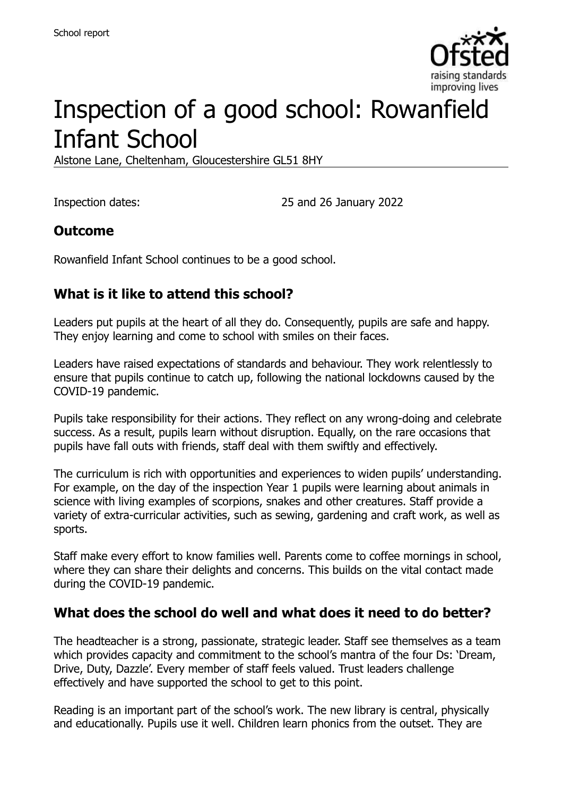

# Inspection of a good school: Rowanfield Infant School

Alstone Lane, Cheltenham, Gloucestershire GL51 8HY

Inspection dates: 25 and 26 January 2022

#### **Outcome**

Rowanfield Infant School continues to be a good school.

### **What is it like to attend this school?**

Leaders put pupils at the heart of all they do. Consequently, pupils are safe and happy. They enjoy learning and come to school with smiles on their faces.

Leaders have raised expectations of standards and behaviour. They work relentlessly to ensure that pupils continue to catch up, following the national lockdowns caused by the COVID-19 pandemic.

Pupils take responsibility for their actions. They reflect on any wrong-doing and celebrate success. As a result, pupils learn without disruption. Equally, on the rare occasions that pupils have fall outs with friends, staff deal with them swiftly and effectively.

The curriculum is rich with opportunities and experiences to widen pupils' understanding. For example, on the day of the inspection Year 1 pupils were learning about animals in science with living examples of scorpions, snakes and other creatures. Staff provide a variety of extra-curricular activities, such as sewing, gardening and craft work, as well as sports.

Staff make every effort to know families well. Parents come to coffee mornings in school, where they can share their delights and concerns. This builds on the vital contact made during the COVID-19 pandemic.

#### **What does the school do well and what does it need to do better?**

The headteacher is a strong, passionate, strategic leader. Staff see themselves as a team which provides capacity and commitment to the school's mantra of the four Ds: 'Dream, Drive, Duty, Dazzle'. Every member of staff feels valued. Trust leaders challenge effectively and have supported the school to get to this point.

Reading is an important part of the school's work. The new library is central, physically and educationally. Pupils use it well. Children learn phonics from the outset. They are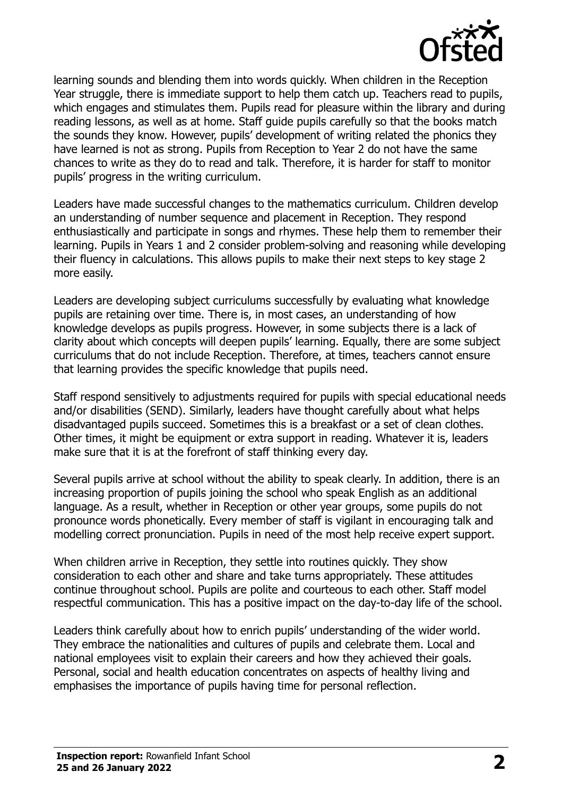

learning sounds and blending them into words quickly. When children in the Reception Year struggle, there is immediate support to help them catch up. Teachers read to pupils, which engages and stimulates them. Pupils read for pleasure within the library and during reading lessons, as well as at home. Staff guide pupils carefully so that the books match the sounds they know. However, pupils' development of writing related the phonics they have learned is not as strong. Pupils from Reception to Year 2 do not have the same chances to write as they do to read and talk. Therefore, it is harder for staff to monitor pupils' progress in the writing curriculum.

Leaders have made successful changes to the mathematics curriculum. Children develop an understanding of number sequence and placement in Reception. They respond enthusiastically and participate in songs and rhymes. These help them to remember their learning. Pupils in Years 1 and 2 consider problem-solving and reasoning while developing their fluency in calculations. This allows pupils to make their next steps to key stage 2 more easily.

Leaders are developing subject curriculums successfully by evaluating what knowledge pupils are retaining over time. There is, in most cases, an understanding of how knowledge develops as pupils progress. However, in some subjects there is a lack of clarity about which concepts will deepen pupils' learning. Equally, there are some subject curriculums that do not include Reception. Therefore, at times, teachers cannot ensure that learning provides the specific knowledge that pupils need.

Staff respond sensitively to adjustments required for pupils with special educational needs and/or disabilities (SEND). Similarly, leaders have thought carefully about what helps disadvantaged pupils succeed. Sometimes this is a breakfast or a set of clean clothes. Other times, it might be equipment or extra support in reading. Whatever it is, leaders make sure that it is at the forefront of staff thinking every day.

Several pupils arrive at school without the ability to speak clearly. In addition, there is an increasing proportion of pupils joining the school who speak English as an additional language. As a result, whether in Reception or other year groups, some pupils do not pronounce words phonetically. Every member of staff is vigilant in encouraging talk and modelling correct pronunciation. Pupils in need of the most help receive expert support.

When children arrive in Reception, they settle into routines quickly. They show consideration to each other and share and take turns appropriately. These attitudes continue throughout school. Pupils are polite and courteous to each other. Staff model respectful communication. This has a positive impact on the day-to-day life of the school.

Leaders think carefully about how to enrich pupils' understanding of the wider world. They embrace the nationalities and cultures of pupils and celebrate them. Local and national employees visit to explain their careers and how they achieved their goals. Personal, social and health education concentrates on aspects of healthy living and emphasises the importance of pupils having time for personal reflection.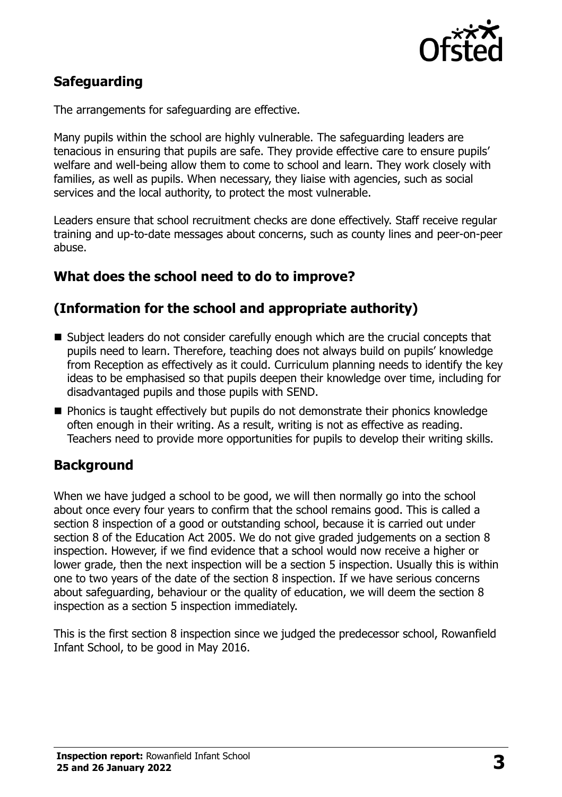

# **Safeguarding**

The arrangements for safeguarding are effective.

Many pupils within the school are highly vulnerable. The safeguarding leaders are tenacious in ensuring that pupils are safe. They provide effective care to ensure pupils' welfare and well-being allow them to come to school and learn. They work closely with families, as well as pupils. When necessary, they liaise with agencies, such as social services and the local authority, to protect the most vulnerable.

Leaders ensure that school recruitment checks are done effectively. Staff receive regular training and up-to-date messages about concerns, such as county lines and peer-on-peer abuse.

### **What does the school need to do to improve?**

# **(Information for the school and appropriate authority)**

- Subject leaders do not consider carefully enough which are the crucial concepts that pupils need to learn. Therefore, teaching does not always build on pupils' knowledge from Reception as effectively as it could. Curriculum planning needs to identify the key ideas to be emphasised so that pupils deepen their knowledge over time, including for disadvantaged pupils and those pupils with SEND.
- **Phonics is taught effectively but pupils do not demonstrate their phonics knowledge** often enough in their writing. As a result, writing is not as effective as reading. Teachers need to provide more opportunities for pupils to develop their writing skills.

#### **Background**

When we have judged a school to be good, we will then normally go into the school about once every four years to confirm that the school remains good. This is called a section 8 inspection of a good or outstanding school, because it is carried out under section 8 of the Education Act 2005. We do not give graded judgements on a section 8 inspection. However, if we find evidence that a school would now receive a higher or lower grade, then the next inspection will be a section 5 inspection. Usually this is within one to two years of the date of the section 8 inspection. If we have serious concerns about safeguarding, behaviour or the quality of education, we will deem the section 8 inspection as a section 5 inspection immediately.

This is the first section 8 inspection since we judged the predecessor school, Rowanfield Infant School, to be good in May 2016.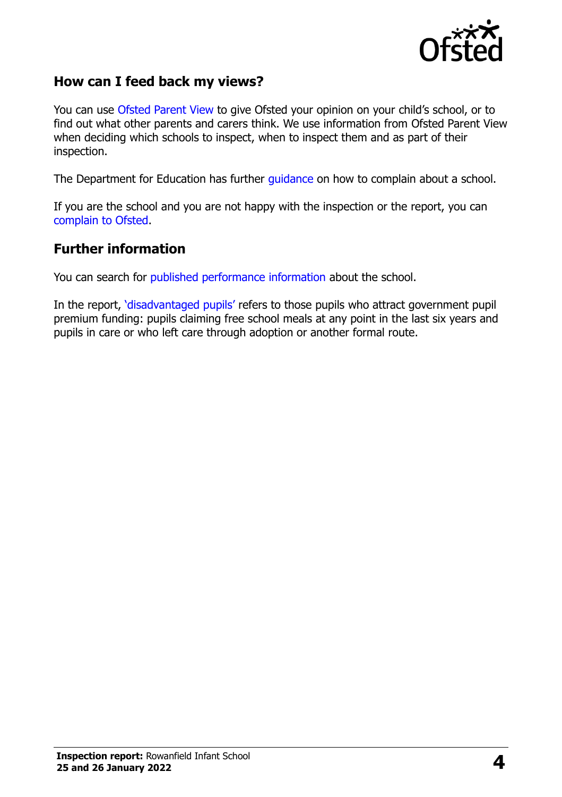

#### **How can I feed back my views?**

You can use [Ofsted Parent View](https://parentview.ofsted.gov.uk/) to give Ofsted your opinion on your child's school, or to find out what other parents and carers think. We use information from Ofsted Parent View when deciding which schools to inspect, when to inspect them and as part of their inspection.

The Department for Education has further [guidance](http://www.gov.uk/complain-about-school) on how to complain about a school.

If you are the school and you are not happy with the inspection or the report, you can [complain to Ofsted.](https://www.gov.uk/complain-ofsted-report)

#### **Further information**

You can search for [published performance information](http://www.compare-school-performance.service.gov.uk/) about the school.

In the report, '[disadvantaged pupils](http://www.gov.uk/guidance/pupil-premium-information-for-schools-and-alternative-provision-settings)' refers to those pupils who attract government pupil premium funding: pupils claiming free school meals at any point in the last six years and pupils in care or who left care through adoption or another formal route.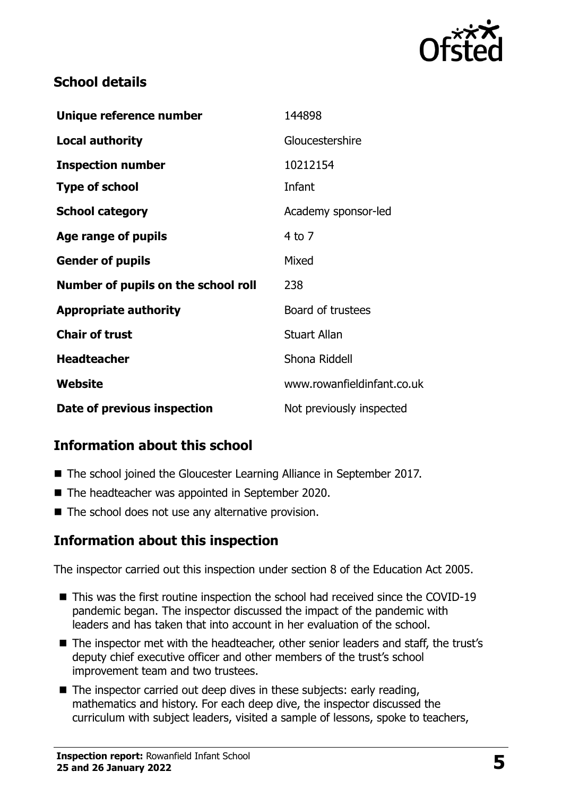

# **School details**

| Unique reference number             | 144898                     |
|-------------------------------------|----------------------------|
| <b>Local authority</b>              | Gloucestershire            |
| <b>Inspection number</b>            | 10212154                   |
| <b>Type of school</b>               | Infant                     |
| <b>School category</b>              | Academy sponsor-led        |
| Age range of pupils                 | $4$ to $7$                 |
| <b>Gender of pupils</b>             | Mixed                      |
| Number of pupils on the school roll | 238                        |
| <b>Appropriate authority</b>        | Board of trustees          |
| <b>Chair of trust</b>               | <b>Stuart Allan</b>        |
| <b>Headteacher</b>                  | Shona Riddell              |
| Website                             | www.rowanfieldinfant.co.uk |
| Date of previous inspection         | Not previously inspected   |

# **Information about this school**

- The school joined the Gloucester Learning Alliance in September 2017.
- The headteacher was appointed in September 2020.
- $\blacksquare$  The school does not use any alternative provision.

# **Information about this inspection**

The inspector carried out this inspection under section 8 of the Education Act 2005.

- This was the first routine inspection the school had received since the COVID-19 pandemic began. The inspector discussed the impact of the pandemic with leaders and has taken that into account in her evaluation of the school.
- The inspector met with the headteacher, other senior leaders and staff, the trust's deputy chief executive officer and other members of the trust's school improvement team and two trustees.
- $\blacksquare$  The inspector carried out deep dives in these subjects: early reading, mathematics and history. For each deep dive, the inspector discussed the curriculum with subject leaders, visited a sample of lessons, spoke to teachers,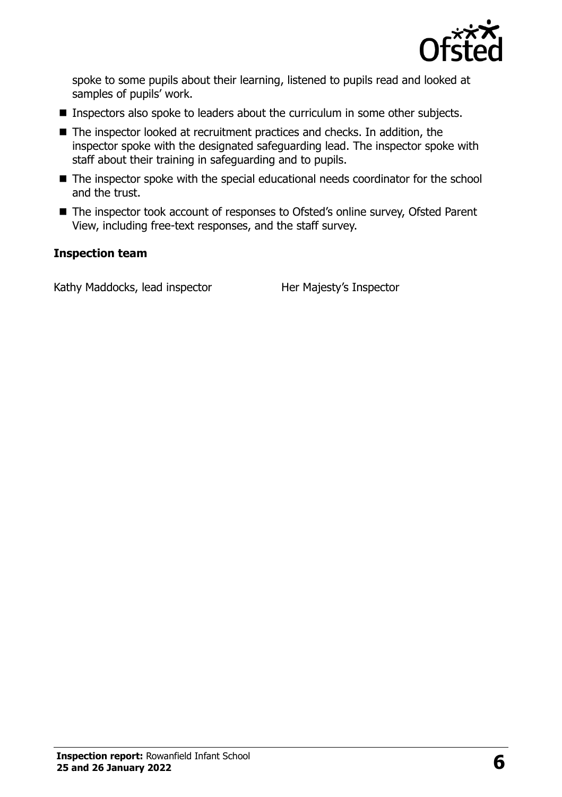

spoke to some pupils about their learning, listened to pupils read and looked at samples of pupils' work.

- **Inspectors also spoke to leaders about the curriculum in some other subjects.**
- The inspector looked at recruitment practices and checks. In addition, the inspector spoke with the designated safeguarding lead. The inspector spoke with staff about their training in safeguarding and to pupils.
- The inspector spoke with the special educational needs coordinator for the school and the trust.
- The inspector took account of responses to Ofsted's online survey, Ofsted Parent View, including free-text responses, and the staff survey.

#### **Inspection team**

Kathy Maddocks, lead inspector Her Majesty's Inspector